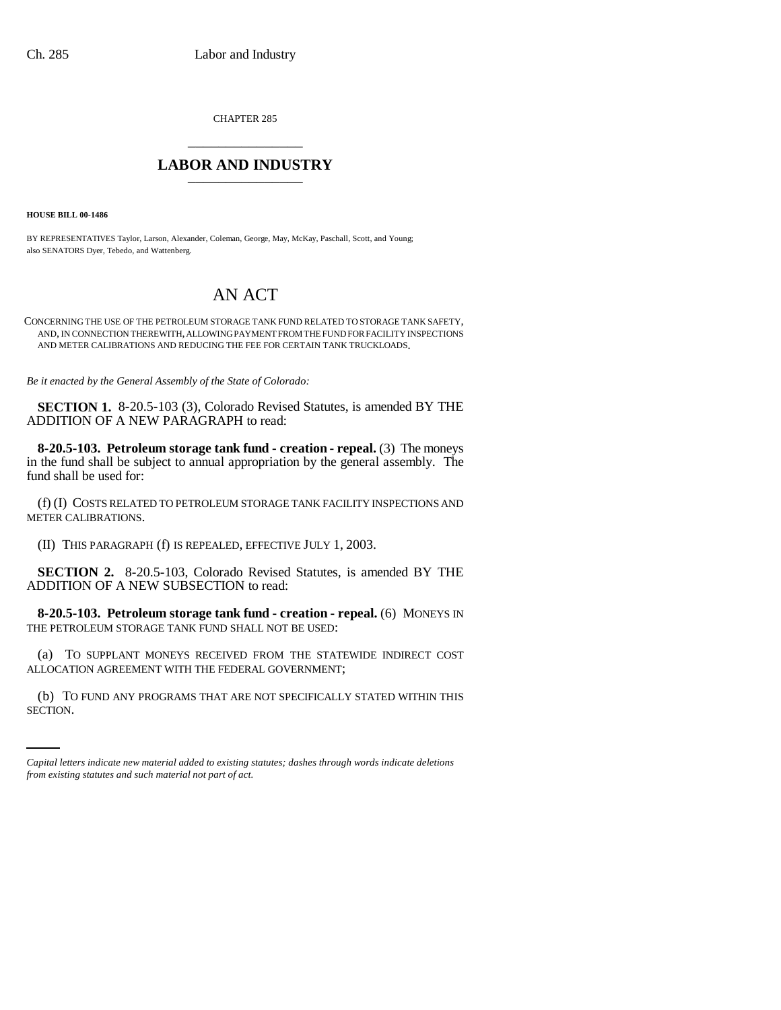CHAPTER 285 \_\_\_\_\_\_\_\_\_\_\_\_\_\_\_

## **LABOR AND INDUSTRY** \_\_\_\_\_\_\_\_\_\_\_\_\_\_\_

**HOUSE BILL 00-1486** 

BY REPRESENTATIVES Taylor, Larson, Alexander, Coleman, George, May, McKay, Paschall, Scott, and Young; also SENATORS Dyer, Tebedo, and Wattenberg.

## AN ACT

CONCERNING THE USE OF THE PETROLEUM STORAGE TANK FUND RELATED TO STORAGE TANK SAFETY, AND, IN CONNECTION THEREWITH, ALLOWING PAYMENT FROM THE FUND FOR FACILITY INSPECTIONS AND METER CALIBRATIONS AND REDUCING THE FEE FOR CERTAIN TANK TRUCKLOADS.

*Be it enacted by the General Assembly of the State of Colorado:*

**SECTION 1.** 8-20.5-103 (3), Colorado Revised Statutes, is amended BY THE ADDITION OF A NEW PARAGRAPH to read:

**8-20.5-103. Petroleum storage tank fund - creation - repeal.** (3) The moneys in the fund shall be subject to annual appropriation by the general assembly. The fund shall be used for:

(f) (I) COSTS RELATED TO PETROLEUM STORAGE TANK FACILITY INSPECTIONS AND METER CALIBRATIONS.

(II) THIS PARAGRAPH (f) IS REPEALED, EFFECTIVE JULY 1, 2003.

**SECTION 2.** 8-20.5-103, Colorado Revised Statutes, is amended BY THE ADDITION OF A NEW SUBSECTION to read:

**8-20.5-103. Petroleum storage tank fund - creation - repeal.** (6) MONEYS IN THE PETROLEUM STORAGE TANK FUND SHALL NOT BE USED:

(a) TO SUPPLANT MONEYS RECEIVED FROM THE STATEWIDE INDIRECT COST ALLOCATION AGREEMENT WITH THE FEDERAL GOVERNMENT;

(b) TO FUND ANY PROGRAMS THAT ARE NOT SPECIFICALLY STATED WITHIN THIS SECTION.

*Capital letters indicate new material added to existing statutes; dashes through words indicate deletions from existing statutes and such material not part of act.*